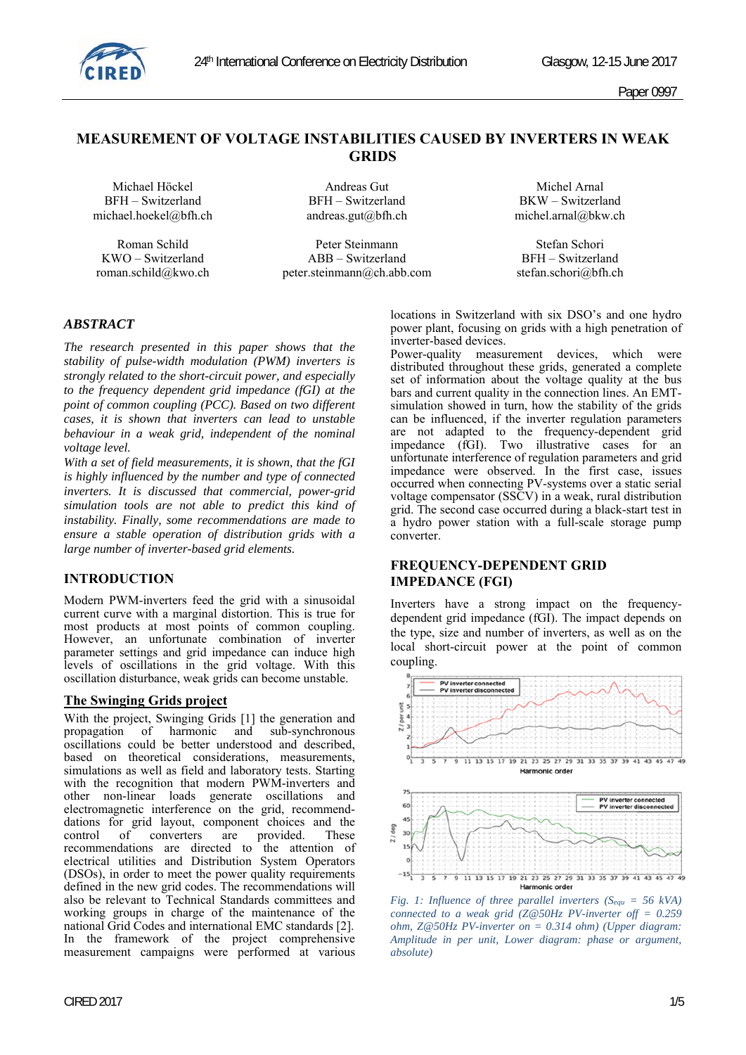

Paper 0997

# **MEASUREMENT OF VOLTAGE INSTABILITIES CAUSED BY INVERTERS IN WEAK GRIDS**

 BFH – Switzerland BFH – Switzerland BKW – Switzerland michael.hoekel@bfh.ch andreas.gut@bfh.ch michel.arnal@bkw.ch

Michael Höckel **Andreas Gut** Andreas Gut Michel Arnal

Roman Schild **Peter Steinmann** Stefan Schori KWO – Switzerland ABB – Switzerland BFH – Switzerland roman.schild@kwo.ch peter.steinmann@ch.abb.com stefan.schori@bfh.ch

# *ABSTRACT*

*The research presented in this paper shows that the stability of pulse-width modulation (PWM) inverters is strongly related to the short-circuit power, and especially to the frequency dependent grid impedance (fGI) at the point of common coupling (PCC). Based on two different cases, it is shown that inverters can lead to unstable behaviour in a weak grid, independent of the nominal voltage level.* 

*With a set of field measurements, it is shown, that the fGI is highly influenced by the number and type of connected inverters. It is discussed that commercial, power-grid simulation tools are not able to predict this kind of instability. Finally, some recommendations are made to ensure a stable operation of distribution grids with a large number of inverter-based grid elements.* 

# **INTRODUCTION**

Modern PWM-inverters feed the grid with a sinusoidal current curve with a marginal distortion. This is true for most products at most points of common coupling. However, an unfortunate combination of inverter parameter settings and grid impedance can induce high levels of oscillations in the grid voltage. With this oscillation disturbance, weak grids can become unstable.

#### **The Swinging Grids project**

With the project, Swinging Grids [1] the generation and propagation of harmonic and sub-synchronous oscillations could be better understood and described, based on theoretical considerations, measurements, simulations as well as field and laboratory tests. Starting with the recognition that modern PWM-inverters and other non-linear loads generate oscillations and electromagnetic interference on the grid, recommenddations for grid layout, component choices and the control of converters are provided. These are provided. recommendations are directed to the attention of electrical utilities and Distribution System Operators (DSOs), in order to meet the power quality requirements defined in the new grid codes. The recommendations will also be relevant to Technical Standards committees and working groups in charge of the maintenance of the national Grid Codes and international EMC standards [2]. In the framework of the project comprehensive measurement campaigns were performed at various

locations in Switzerland with six DSO's and one hydro power plant, focusing on grids with a high penetration of inverter-based devices.

Power-quality measurement devices, which were distributed throughout these grids, generated a complete set of information about the voltage quality at the bus bars and current quality in the connection lines. An EMTsimulation showed in turn, how the stability of the grids can be influenced, if the inverter regulation parameters are not adapted to the frequency-dependent grid impedance (fGI). Two illustrative cases for an unfortunate interference of regulation parameters and grid impedance were observed. In the first case, issues occurred when connecting PV-systems over a static serial voltage compensator (SSCV) in a weak, rural distribution grid. The second case occurred during a black-start test in a hydro power station with a full-scale storage pump converter.

#### **FREQUENCY-DEPENDENT GRID IMPEDANCE (FGI)**

Inverters have a strong impact on the frequencydependent grid impedance (fGI). The impact depends on the type, size and number of inverters, as well as on the local short-circuit power at the point of common coupling.



*Fig. 1: Influence of three parallel inverters (Sequ = 56 kVA) connected to a weak grid (Z@50Hz PV-inverter off = 0.259 ohm, Z@50Hz PV-inverter on = 0.314 ohm) (Upper diagram: Amplitude in per unit, Lower diagram: phase or argument, absolute)*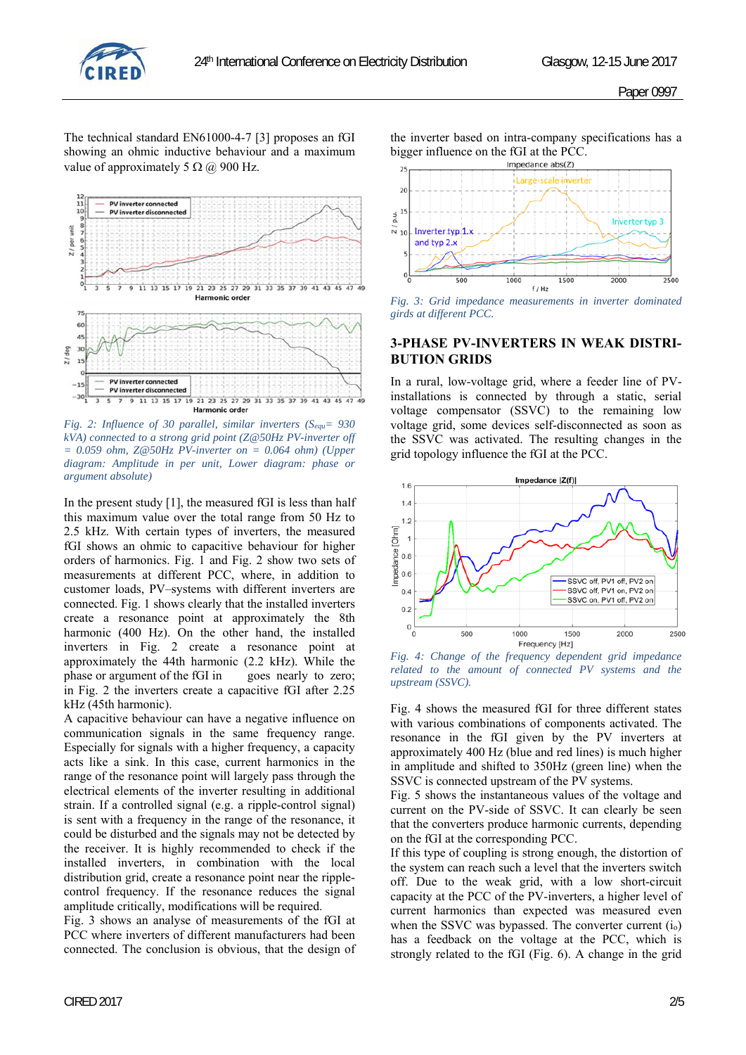

The technical standard EN61000-4-7 [3] proposes an fGI showing an ohmic inductive behaviour and a maximum value of approximately 5  $\Omega$  (a) 900 Hz.



*Fig. 2: Influence of 30 parallel, similar inverters (Sequ= 930 kVA) connected to a strong grid point (Z@50Hz PV-inverter off = 0.059 ohm, Z@50Hz PV-inverter on = 0.064 ohm) (Upper diagram: Amplitude in per unit, Lower diagram: phase or argument absolute)* 

In the present study [1], the measured fGI is less than half this maximum value over the total range from 50 Hz to 2.5 kHz. With certain types of inverters, the measured fGI shows an ohmic to capacitive behaviour for higher orders of harmonics. Fig. 1 and Fig. 2 show two sets of measurements at different PCC, where, in addition to customer loads, PV–systems with different inverters are connected. Fig. 1 shows clearly that the installed inverters create a resonance point at approximately the 8th harmonic (400 Hz). On the other hand, the installed inverters in Fig. 2 create a resonance point at approximately the 44th harmonic (2.2 kHz). While the phase or argument of the fGI in goes nearly to zero; in Fig. 2 the inverters create a capacitive fGI after 2.25 kHz (45th harmonic).

A capacitive behaviour can have a negative influence on communication signals in the same frequency range. Especially for signals with a higher frequency, a capacity acts like a sink. In this case, current harmonics in the range of the resonance point will largely pass through the electrical elements of the inverter resulting in additional strain. If a controlled signal (e.g. a ripple-control signal) is sent with a frequency in the range of the resonance, it could be disturbed and the signals may not be detected by the receiver. It is highly recommended to check if the installed inverters, in combination with the local distribution grid, create a resonance point near the ripplecontrol frequency. If the resonance reduces the signal amplitude critically, modifications will be required.

Fig. 3 shows an analyse of measurements of the fGI at PCC where inverters of different manufacturers had been connected. The conclusion is obvious, that the design of the inverter based on intra-company specifications has a bigger influence on the fGI at the PCC.



*Fig. 3: Grid impedance measurements in inverter dominated girds at different PCC.* 

#### **3-PHASE PV-INVERTERS IN WEAK DISTRI-BUTION GRIDS**

In a rural, low-voltage grid, where a feeder line of PVinstallations is connected by through a static, serial voltage compensator (SSVC) to the remaining low voltage grid, some devices self-disconnected as soon as the SSVC was activated. The resulting changes in the grid topology influence the fGI at the PCC.



*Fig. 4: Change of the frequency dependent grid impedance related to the amount of connected PV systems and the upstream (SSVC).* 

Fig. 4 shows the measured fGI for three different states with various combinations of components activated. The resonance in the fGI given by the PV inverters at approximately 400 Hz (blue and red lines) is much higher in amplitude and shifted to 350Hz (green line) when the SSVC is connected upstream of the PV systems.

Fig. 5 shows the instantaneous values of the voltage and current on the PV-side of SSVC. It can clearly be seen that the converters produce harmonic currents, depending on the fGI at the corresponding PCC.

If this type of coupling is strong enough, the distortion of the system can reach such a level that the inverters switch off. Due to the weak grid, with a low short-circuit capacity at the PCC of the PV-inverters, a higher level of current harmonics than expected was measured even when the SSVC was bypassed. The converter current  $(i_0)$ has a feedback on the voltage at the PCC, which is strongly related to the fGI (Fig. 6). A change in the grid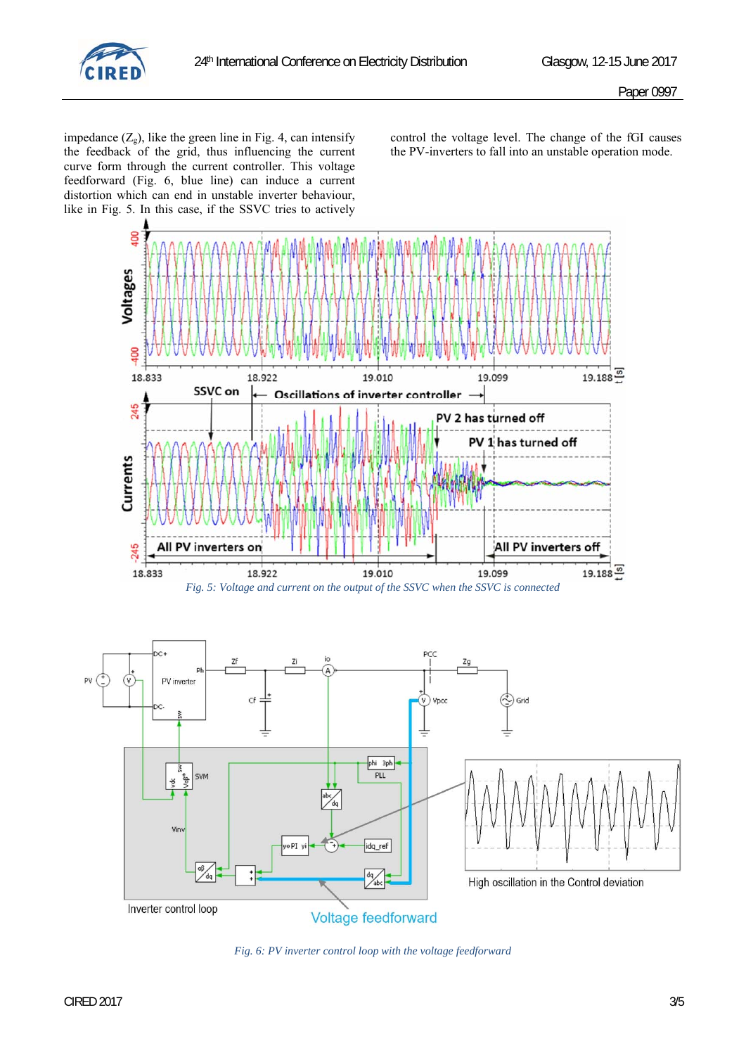

impedance  $(Z_g)$ , like the green line in Fig. 4, can intensify the feedback of the grid, thus influencing the current curve form through the current controller. This voltage feedforward (Fig. 6, blue line) can induce a current distortion which can end in unstable inverter behaviour, like in Fig. 5. In this case, if the SSVC tries to actively

control the voltage level. The change of the fGI causes the PV-inverters to fall into an unstable operation mode.



*Fig. 6: PV inverter control loop with the voltage feedforward*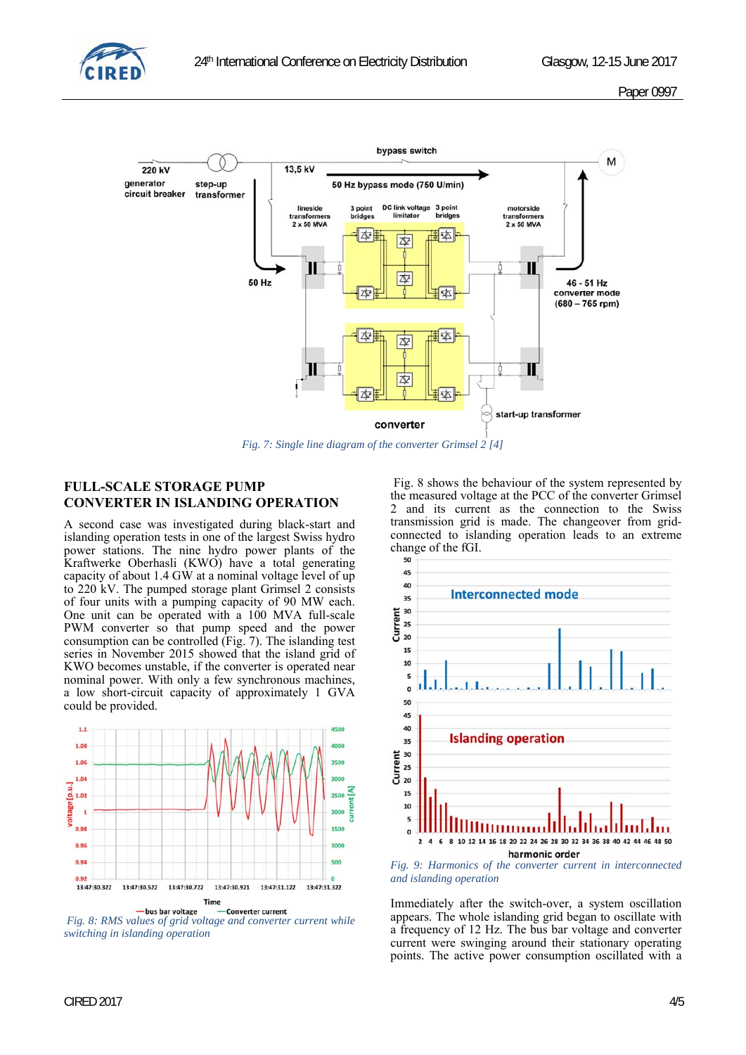



*Fig. 7: Single line diagram of the converter Grimsel 2 [4]* 

# **FULL-SCALE STORAGE PUMP CONVERTER IN ISLANDING OPERATION**

A second case was investigated during black-start and islanding operation tests in one of the largest Swiss hydro power stations. The nine hydro power plants of the Kraftwerke Oberhasli (KWO) have a total generating capacity of about 1.4 GW at a nominal voltage level of up to 220 kV. The pumped storage plant Grimsel 2 consists of four units with a pumping capacity of 90 MW each. One unit can be operated with a 100 MVA full-scale PWM converter so that pump speed and the power consumption can be controlled (Fig. 7). The islanding test series in November 2015 showed that the island grid of KWO becomes unstable, if the converter is operated near nominal power. With only a few synchronous machines, a low short-circuit capacity of approximately 1 GVA could be provided.



 *Fig. 8: RMS values of grid voltage and converter current while switching in islanding operation* 

 Fig. 8 shows the behaviour of the system represented by the measured voltage at the PCC of the converter Grimsel 2 and its current as the connection to the Swiss transmission grid is made. The changeover from gridconnected to islanding operation leads to an extreme change of the fGI.



*Fig. 9: Harmonics of the converter current in interconnected and islanding operation*

Immediately after the switch-over, a system oscillation appears. The whole islanding grid began to oscillate with a frequency of 12 Hz. The bus bar voltage and converter current were swinging around their stationary operating points. The active power consumption oscillated with a